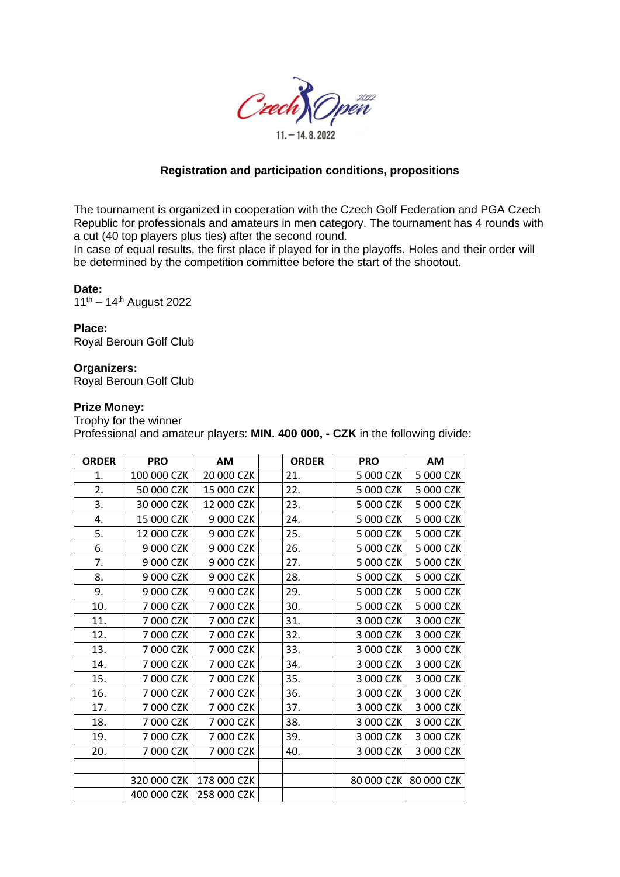

## **Registration and participation conditions, propositions**

The tournament is organized in cooperation with the Czech Golf Federation and PGA Czech Republic for professionals and amateurs in men category. The tournament has 4 rounds with a cut (40 top players plus ties) after the second round.

In case of equal results, the first place if played for in the playoffs. Holes and their order will be determined by the competition committee before the start of the shootout.

#### **Date:**

 $11^{th} - 14^{th}$  August 2022

#### **Place:**

Royal Beroun Golf Club

#### **Organizers:**

Royal Beroun Golf Club

#### **Prize Money:**

Trophy for the winner Professional and amateur players: **MIN. 400 000, - CZK** in the following divide:

| <b>ORDER</b> | <b>PRO</b>  | AM          | <b>ORDER</b> | <b>PRO</b> | <b>AM</b>               |
|--------------|-------------|-------------|--------------|------------|-------------------------|
| 1.           | 100 000 CZK | 20 000 CZK  | 21.          | 5 000 CZK  | 5 000 CZK               |
| 2.           | 50 000 CZK  | 15 000 CZK  | 22.          | 5 000 CZK  | 5 000 CZK               |
| 3.           | 30 000 CZK  | 12 000 CZK  | 23.          | 5 000 CZK  | 5 000 CZK               |
| 4.           | 15 000 CZK  | 9 000 CZK   | 24.          | 5 000 CZK  | 5 000 CZK               |
| 5.           | 12 000 CZK  | 9 000 CZK   | 25.          | 5 000 CZK  | 5 000 CZK               |
| 6.           | 9 000 CZK   | 9 000 CZK   | 26.          | 5 000 CZK  | 5 000 CZK               |
| 7.           | 9 000 CZK   | 9 000 CZK   | 27.          | 5 000 CZK  | 5 000 CZK               |
| 8.           | 9 000 CZK   | 9 000 CZK   | 28.          | 5 000 CZK  | 5 000 CZK               |
| 9.           | 9 000 CZK   | 9 000 CZK   | 29.          | 5 000 CZK  | 5 000 CZK               |
| 10.          | 7 000 CZK   | 7 000 CZK   | 30.          | 5 000 CZK  | 5 000 CZK               |
| 11.          | 7 000 CZK   | 7 000 CZK   | 31.          | 3 000 CZK  | 3 000 CZK               |
| 12.          | 7 000 CZK   | 7 000 CZK   | 32.          | 3 000 CZK  | 3 000 CZK               |
| 13.          | 7 000 CZK   | 7 000 CZK   | 33.          | 3 000 CZK  | 3 000 CZK               |
| 14.          | 7 000 CZK   | 7 000 CZK   | 34.          | 3 000 CZK  | 3 000 CZK               |
| 15.          | 7 000 CZK   | 7 000 CZK   | 35.          | 3 000 CZK  | 3 000 CZK               |
| 16.          | 7 000 CZK   | 7 000 CZK   | 36.          | 3 000 CZK  | 3 000 CZK               |
| 17.          | 7 000 CZK   | 7 000 CZK   | 37.          | 3 000 CZK  | 3 000 CZK               |
| 18.          | 7 000 CZK   | 7 000 CZK   | 38.          | 3 000 CZK  | 3 000 CZK               |
| 19.          | 7 000 CZK   | 7 000 CZK   | 39.          | 3 000 CZK  | 3 000 CZK               |
| 20.          | 7 000 CZK   | 7 000 CZK   | 40.          | 3 000 CZK  | 3 000 CZK               |
|              |             |             |              |            |                         |
|              | 320 000 CZK | 178 000 CZK |              |            | 80 000 CZK   80 000 CZK |
|              | 400 000 CZK | 258 000 CZK |              |            |                         |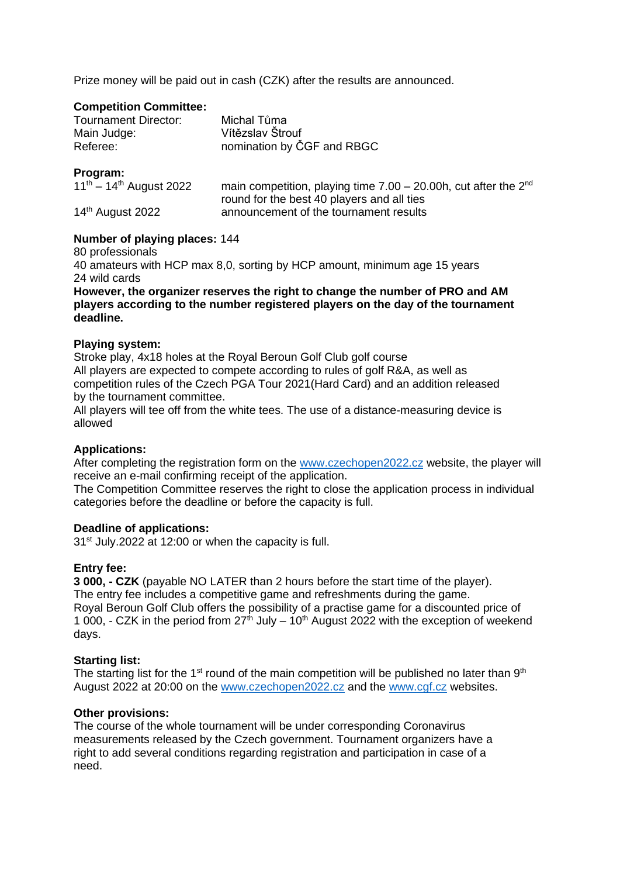Prize money will be paid out in cash (CZK) after the results are announced.

## **Competition Committee:**

| <b>Tournament Director:</b> | Michal Tůma                |
|-----------------------------|----------------------------|
| Main Judge:                 | Vítězslav Štrouf           |
| Referee:                    | nomination by ČGF and RBGC |

## **Program:**

| $11^{th} - 14^{th}$ August 2022 | main competition, playing time $7.00 - 20.00$ h, cut after the $2^{nd}$ |
|---------------------------------|-------------------------------------------------------------------------|
|                                 | round for the best 40 players and all ties                              |
| 14 <sup>th</sup> August 2022    | announcement of the tournament results                                  |

## **Number of playing places:** 144

80 professionals 40 amateurs with HCP max 8,0, sorting by HCP amount, minimum age 15 years 24 wild cards **However, the organizer reserves the right to change the number of PRO and AM** 

**players according to the number registered players on the day of the tournament deadline.**

## **Playing system:**

Stroke play, 4x18 holes at the Royal Beroun Golf Club golf course All players are expected to compete according to rules of golf R&A, as well as competition rules of the Czech PGA Tour 2021(Hard Card) and an addition released by the tournament committee.

All players will tee off from the white tees. The use of a distance-measuring device is allowed

## **Applications:**

After completing the registration form on the [www.czechopen2022.cz](http://www.czechopen2022.cz/) website, the player will receive an e-mail confirming receipt of the application.

The Competition Committee reserves the right to close the application process in individual categories before the deadline or before the capacity is full.

### **Deadline of applications:**

31<sup>st</sup> July.2022 at 12:00 or when the capacity is full.

### **Entry fee:**

**3 000, - CZK** (payable NO LATER than 2 hours before the start time of the player). The entry fee includes a competitive game and refreshments during the game. Royal Beroun Golf Club offers the possibility of a practise game for a discounted price of 1 000, - CZK in the period from  $27<sup>th</sup>$  July – 10<sup>th</sup> August 2022 with the exception of weekend days.

### **Starting list:**

The starting list for the 1<sup>st</sup> round of the main competition will be published no later than  $9<sup>th</sup>$ August 2022 at 20:00 on the [www.czechopen2022.cz](http://www.czechopen2022.cz/) and the [www.cgf.cz](http://www.cgf.cz/) websites.

### **Other provisions:**

The course of the whole tournament will be under corresponding Coronavirus measurements released by the Czech government. Tournament organizers have a right to add several conditions regarding registration and participation in case of a need.